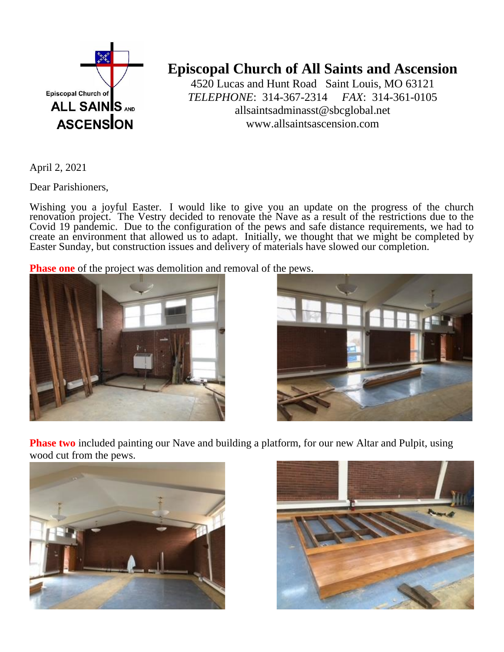

## **Episcopal Church of All Saints and Ascension**

4520 Lucas and Hunt Road Saint Louis, MO 63121 *TELEPHONE*: 314-367-2314 *FAX*: 314-361-0105 allsaintsadminasst@sbcglobal.net www.allsaintsascension.com

April 2, 2021

Dear Parishioners,

Wishing you a joyful Easter. I would like to give you an update on the progress of the church renovation project. The Vestry decided to renovate the Nave as a result of the restrictions due to the Covid 19 pandemic. Due to the configuration of the pews and safe distance requirements, we had to create an environment that allowed us to adapt. Initially, we thought that we might be completed by Easter Sunday, but construction issues and delivery of materials have slowed our completion.

**Phase one** of the project was demolition and removal of the pews.





**Phase two** included painting our Nave and building a platform, for our new Altar and Pulpit, using wood cut from the pews.